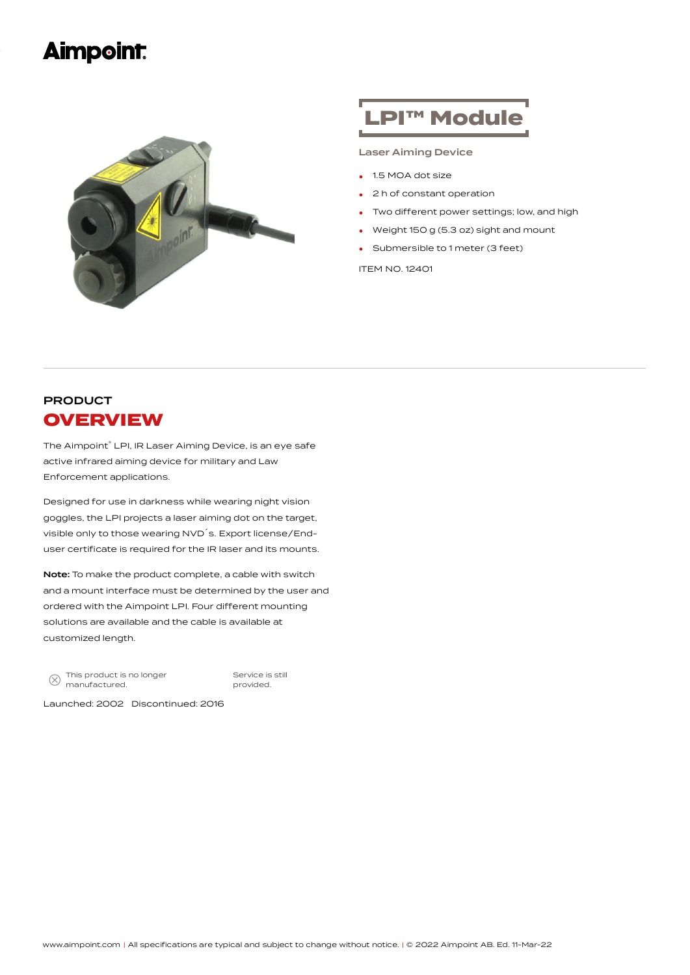## **Aimpoint**



# LPI™ Module

#### Laser Aiming Device

- 1.5 MOA dot size
- <sup>2</sup> <sup>h</sup> of constant operation
- Two different power settings; low, and high
- Weight <sup>150</sup> <sup>g</sup> (5.3 oz) sight and mount
- Submersible to <sup>1</sup> meter (3 feet)

ITEM NO. 12401

### PRODUCT **OVERVIEW**

The Aimpoint® LPI, IR Laser Aiming Device, is an eye safe active infrared aiming device for military and Law Enforcement applications.

Designed for use in darkness while wearing night vision goggles, the LPI projects a laser aiming dot on the target, visible only to those wearing NVD´s. Export license/Enduser certificate is required for the IR laser and its mounts.

Note: To make the product complete, a cable with switch and a mount interface must be determined by the user and ordered with the Aimpoint LPI. Four different mounting solutions are available and the cable is available at customized length.

 $\circledR$  This product is no longer manufactured.

Service is still provided.

Launched: 2002 Discontinued: 2016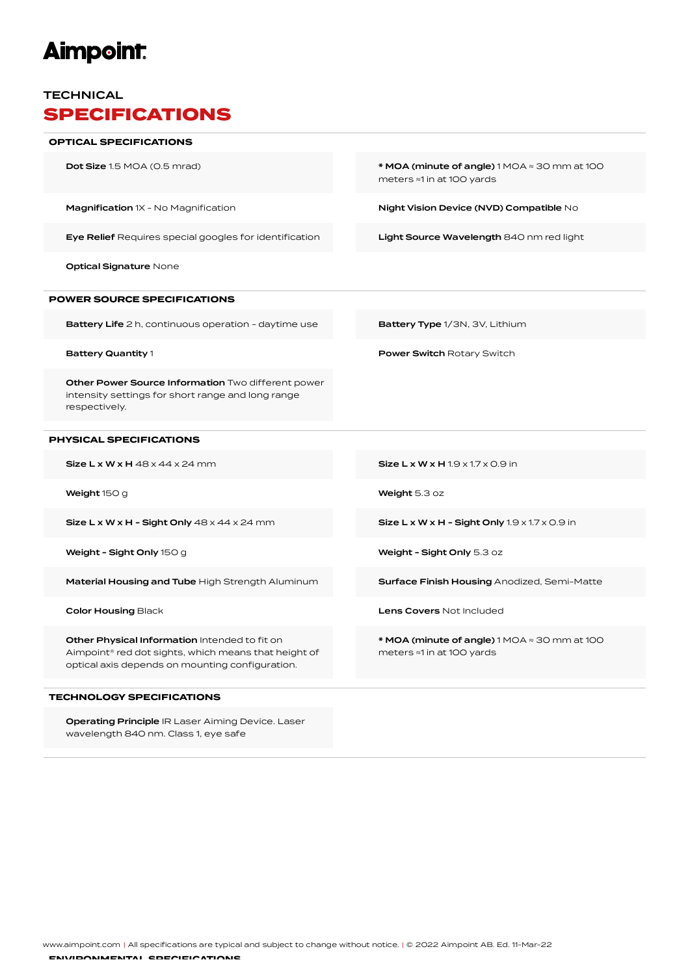# **Aimpoint:**

#### **TECHNICAL** SPECIFICATIONS

| <b>OPTICAL SPECIFICATIONS</b>                                                                                                                            |                                                                                                |
|----------------------------------------------------------------------------------------------------------------------------------------------------------|------------------------------------------------------------------------------------------------|
| <b>Dot Size</b> 1.5 MOA (0.5 mrad)                                                                                                                       | $*$ MOA (minute of angle) 1 MOA $\approx$ 30 mm at 100<br>meters <sup>®1</sup> in at 100 yards |
| Magnification 1X - No Magnification                                                                                                                      | Night Vision Device (NVD) Compatible No                                                        |
| Eye Relief Requires special googles for identification                                                                                                   | Light Source Wavelength 840 nm red light                                                       |
| <b>Optical Signature None</b>                                                                                                                            |                                                                                                |
| <b>POWER SOURCE SPECIFICATIONS</b>                                                                                                                       |                                                                                                |
| <b>Battery Life</b> 2 h, continuous operation - daytime use                                                                                              | Battery Type 1/3N, 3V, Lithium                                                                 |
| <b>Battery Quantity 1</b>                                                                                                                                | <b>Power Switch Rotary Switch</b>                                                              |
| Other Power Source Information Two different power<br>intensity settings for short range and long range<br>respectively.                                 |                                                                                                |
| PHYSICAL SPECIFICATIONS                                                                                                                                  |                                                                                                |
| Size $L \times W \times H$ 48 $\times$ 44 $\times$ 24 mm                                                                                                 | $Size L \times W \times H 1.9 \times 1.7 \times O.9$ in                                        |
| Weight $150g$                                                                                                                                            | Weight 5.3 oz                                                                                  |
| Size L x W x H - Sight Only $48 \times 44 \times 24$ mm                                                                                                  | Size $L \times W \times H$ - Sight Only 1.9 $\times$ 1.7 $\times$ 0.9 in                       |
| Weight - Sight Only $150 g$                                                                                                                              | Weight - Sight Only 5.3 oz                                                                     |
| Material Housing and Tube High Strength Aluminum                                                                                                         | <b>Surface Finish Housing Anodized, Semi-Matte</b>                                             |
| <b>Color Housing Black</b>                                                                                                                               | <b>Lens Covers Not Included</b>                                                                |
| Other Physical Information Intended to fit on<br>Aimpoint® red dot sights, which means that height of<br>optical axis depends on mounting configuration. | * MOA (minute of angle) 1 MOA $\approx$ 30 mm at 100<br>meters ≈1 in at 100 yards              |
| <b>TECHNOLOGY SPECIFICATIONS</b>                                                                                                                         |                                                                                                |

Operating Principle IR Laser Aiming Device. Laser wavelength 840 nm. Class 1, eye safe